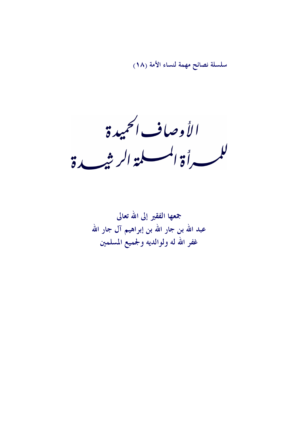سلسلة نصائح مهمة لنساء الأمة (١٨)

الأوصاف الحميدة للمسرأة المسلمة الرشيدة

جمعها الفقير إلى الله تعالى عبد الله بن جار الله بن إبراهيم آل جار الله غفر الله له ولوالديه ولجميع المسلمين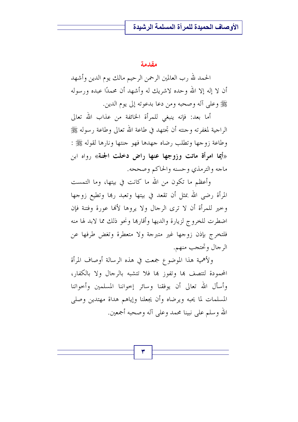#### مقدمة

الحمد لله رب العالمين الرحمن الرحيم مالك يوم الدين وأشهد أن لا إله إلا الله وحده لاشريك له وأشهد أن محمدًا عبده ورسوله ﷺ وعلى آله وصحبه ومن دعا بدعوته إلى يوم الدين.

أما بعد: فإنه ينبغي للمرأة الخائفة من عذاب الله تعالى الراجية لمغفرته وجنته أن تجتهد في طاعة الله تعالى وطاعة رسوله ﷺ وطاعة زوجها وتطلب رضاه جهدها فهو جنتها ونارها لقوله ﷺ : «أيما امرأة ماتت وزوجها عنها راض دخلت الجنة» رواه ابن ماجه والترمذي وحسنه والحاكم وصححه.

وأعظم ما تكون من الله ما كانت في بيتها، وما التمست المرأة رضي الله بمثل أن تقعد في بيتها وتعبد ربما وتطيع زوجها وحير للمرأة أن لا ترى الرجال ولا يروها لألها عورة وفتنة فإن اضطرت للخروج لزيارة والديها وأقارها ونحو ذلك مما لابد لها منه فلتخرج بإذن زوجها غير متبرجة ولا متعطرة وتغض طرفها عن الرجال وتحتجب منهم.

ولأهمية هذا الموضوع جمعت في هذه الرسالة أوصاف المرأة المحمودة لتتصف بها وتفوز بها فلا تتشبه بالرجال ولا بالكفار، وأسأل الله تعالى أن يوفقنا وسائر إحواننا المسلمين وأحواتنا المسلمات لما يحبه ويرضاه وأن يجعلنا وإياهم هداة مهتدين وصلى الله و سلم على نبينا محمد وعلى آله وصحبه أجمعين.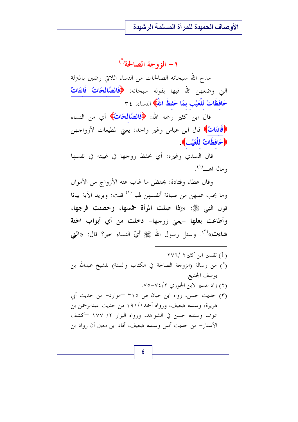#### ١ – الزوجة الصالحة<sup>(\*)</sup>

مدح الله سبحانه الصالحات من النساء اللاتي رضين بالمنزلة التي وضعهن الله فيها بقوله سبحانه: ﴿فَالصَّالِحَاتُ قَانِتَاتٌ حَافظَاتٌ للْغَيْبِ بِمَا حَفظَ اللَّهُ النساء: ٣٤

قال ابن كثير رحمه الله: ﴿فَالصَّالِحَاتُ﴾ أي من النساء ﴿قَانِتَاتٌ﴾ قال ابن عباس وغير واحد: يعني المطيعات لأزواجهن ﴿حَافظَاتٌ لِلْغَيْبِ﴾.

قال السدي وغيره: أي تحفظ زوجها في غيبته في نفسها وماله اهش<sup>(۱</sup>).

وقال عطاء وقتادة: يحفظن ما غاب عنه الأزواج من الأموال وما يجب عليهن من صيانة أنفسهن لهم <sup>(٢)</sup> قلت: ويزيد الآية بيانا قول النبي ﷺ: «إذا صلت المرأة خمسها، وحصنت فرجها، وأطاعت بعلها -يعنى زوجها- دخلت من أي أبواب الجنة **شاءت»<sup>(٣)</sup>. و**سئل رسول الله ﷺ أيّ النساء حير؟ قال: «**التي** 

٤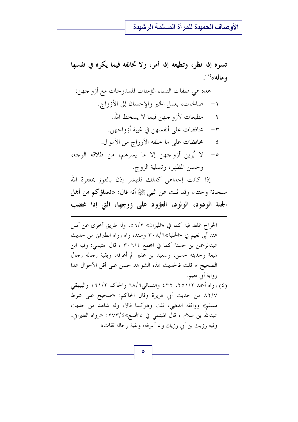تسره إذا نظر، وتطيعه إذا أمر، ولا تخالفه فيما يكره في نفسها وماله»<sup>(۱)</sup>.

هذه هي صفات النساء الؤمنات الممدوحات مع أزواجهن: صالحات، بعمل الخير والإحسان إلى الأزواج.  $-1$ ٢ – مطيعات لأزواجهن فيما لا يسخط الله. ٣- \_ محافظات على أنفسهن في غيبة أزواجهن. ٤- حافظات على ما خلفه الأزواج من الأموال. ٥- لا يُرين أزواجهن إلا ما يسرهم، من طلاقة الوجه، وحسن المظهر ، وتسلية الزوج.

إذا كانت إحداهن كذلك فلتبشر إذن بالفوز بمغفرة الله سبحانة وحنته، وقد ثبت عن النبي ﷺ أنه قال: «**نساؤكم من أهل** الجنة الودود، الولود، العؤود على زوجها، التي إذا غضب

الجراح غلط فيه كما في «الميزان» ٥٦/٢، وله طريق أخرى عن أنس عند أبي نعيم في «الحلية»٢٠٨/٦ وسنده واه رواه الطبراني من حديث عبدالرحمن بن حسنة كما في المحمع ٣٠٦/٤ ، قال الهثيمي: وفيه ابن لهيعة وحديثه حسن، وسعيد بن عفير لم أعرفه، وبقية رحاله رحال الصحيح » قلت فالحديث هذه الشواهد حسن على أقل الأحوال عدا رواية أيي نعيم. (٤) رواه أحمد ٢/٢٥١/٢ ٤٣٢ والنسائي٢٨/٦ والحاكم ١٦١/٢ والبيهقي ٨٢/٧ من حديث أبي هريرة وقال الحاكم: «صحيح على شرط مسلم» ووافقه الذهبي، قلت وهوكما قالا، وله شاهد من حديث عبدالله بن سلام ، قال الهيثمي في «المجمع»٤/٢٧٣: «رواه الطبراين، وفيه رزيك بن أبي رزيك و لم أعرفه، وبقية رحاله ثقات».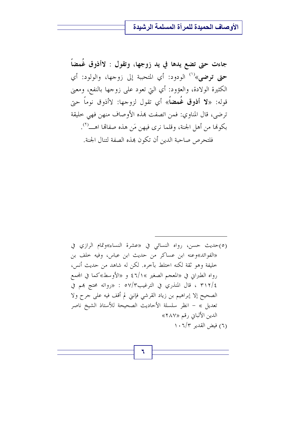جاءت حتى تضع يدها في يد زوجها، وتقول : لاأذوق غُمضاً حتى توضى»<sup>(١)</sup> الودود: أي المتحببة إلى زوجها، والولود: أي الكثيرة الولادة، والعؤود: أي التي تعود على زوجها بالنفع، ومعنى قوله: «لا أ**ذوق غُمضاً**» أي تقول لزوجها: لاأذوق نوماً حب*ي*ّ ترضى، قال المناوي: فمن اتصفت هذه الأوصاف منهن فهي حليقة فلتحرص صاحبة الدين أن تكون بهذه الصفة لتنال الجنة.

(٥)حديث حسن، رواه النسائي في «عشرة النساء»وتمام الرازي في «الفوائد»وعنه ابن عساكر من حديث ابن عباس، وفيه حلف بن خليفة وهو ثقة لكنه اختلط بآخره. لكن له شاهد من حديث أنس، رواه الطبراني في «المعجم الصغير »١/١٪ و «الأوسط»كما في المحمع ٢١٢/٤ ، قال المنذري في الترغيب٣/٣٥ : «رواته محتج بهم في الصحيح إلا إبراهيم بن زياد القرشي فإنني لم أقف فيه على حرح ولا تعديل » – انظر سلسلة الأحاديث الصحيحة للأستاذ الشيخ ناصر الدين الألباني رقم «٢٨٧» (٦) فيض القدير ١٠٦/٣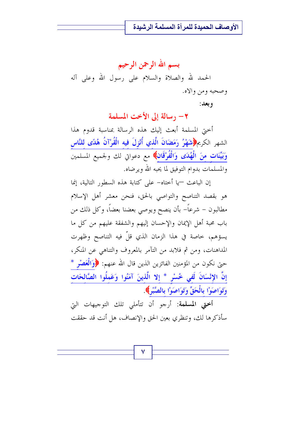بسم الله الرحمن الرحيم الحمد لله والصلاة والسلام على رسول الله وعلى آله وصحبه ومن والاه.

و بعد :

٢- رسالة إلى الأخت المسلمة

أحتى المسلمة أبعث إليك هذه الرسالة بمناسبة قدوم هذا الشهر الكريم، التَّفِيُّرُ رَمَضَانَ الَّذِي أُنْزِلَ فِيه الْقُرْآنُ هُدًى لِلنَّاسِ وَبَيِّنَاتٍ مِنَ الْهُدَى وَالْفُرْقَانِ﴾ مع دعواتي لك ولجميع المسلمين والمسلمات بدوام التوفيق لما يحبه الله ويرضاه.

إن الباعث —يا أختاه– على كتابة هذه السطور التالية، إنما هو بقصد التناصح والتواصي بالحق، فنحن معشر أهل الإسلام مطالبون – شرعاً– بأن ينصح ويوصى بعضنا بعضاً، وكل ذلك من باب محبة أهل الإيمان والإحسان إليهم والشفقة عليهم من كل ما يسؤهم، خاصة في هذا الزمان الذي قلّ فيه التناصح وظهرت المداهنات، ومن ثم فلابد من التآمر بالمعروف والتناهي عن المنكر، حتى نكون من المؤمنين الفائزين الذين قال الله عنهم: ﴿وَالْعَصْرِ \* إِنَّ الإِنْسَانَ لَفي خُسْرٍ \* إِلا الَّذِينَ آمَنُوا وَعَمِلُوا الصَّالحَاتِ وَتَوَاصَوْا بِالْحَقِّ وَتَوَاصَوْا بِالصَّبْرِ﴾.

أختى المسلمة: أرجو أن تتأملي تلك التوجيهات التي سأذكرها لك، وتنظري بعين الحق والإنصاف، هل أنت قد حققت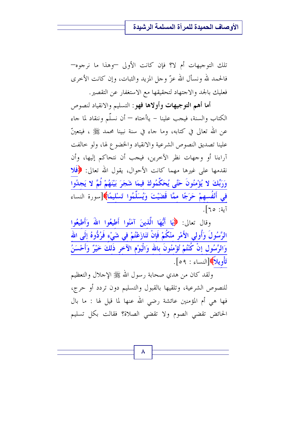تلك التوجيهات أم لا؟ فإن كانت الأولى —وهذا ما نرجوه— فالحمد لله ونسأل الله عزَّ وحلَّ المزيد والثبات، وإن كانت الأخرى فعليك بالجد والاجتهاد لتحقيقها مع الاستغفار عن التقصير.

أما أهم التوجيهات وأولاها فهو: التسليم والانقياد لنصوص الكتاب والسنة، فيجب علينا – ياأختاه — أن نسلَّم وننقاد لما جاء عن الله تعالى في كتابه، وما جاء في سنة نبينا محمد ﷺ ، فيتعينّ علينا تصديق النصوص الشرعية والانقياد والخضوع لها، ولو حالفت آراءنا أو وجهات نظر الآخرين، فيجب أن نتحاكم إليها، وأن نقدمها على غيرها مهما كانت الأحوال، يقول الله تعالى: ﴿فَلَا وَرَبِّكَ لا يُؤْمِنُونَ حَتَّى يُحَكِّمُوكَ فيمَا شَجَرَ بَيْنَهُمْ ثُمَّ لا يَجِدُوا فِي أَنْفُسهِمْ حَرَجًا ممَّا قَضَيْتَ وَيُسَلِّمُوا تَسْلِيمًا﴾[سورة النساء آية: ٦٥].

وقال تعالى: ﴿إِيَا أَيُّهَا الَّذِينَ آمَنُوا أَطِيعُوا اللَّهَ وَأَطِيعُوا الرَّسُولَ وَأُولى الأَمْرِ منْكُمْ فَإِنْ تَنَازَعْتُمْ فِي شَيْء<u>ٍ فَرُدُّوهُ إِلَى اللهِ</u> وَالرَّسُولِ إِنْ كُنْتُمْ تُؤْمِنُونَ بِالله وَالْيَوْمِ الآخرِ ذَلِكَ خَيْرٌ وَأَحْسَنُ تَأْوِيلاً إِدَانِساءِ : ٥٩].

ولقد كان من هدي صحابة رسول الله ﷺ الإحلال والتعظيم للنصوص الشرعية، وتلقيها بالقبول والتسليم دون تردد أو حرج، فها هي أم المؤمنين عائشة رضي الله عنها لما قيل لها : ما بال الحائض تقضى الصوم ولا تقضى الصلاة؟ فقالت بكل تسليم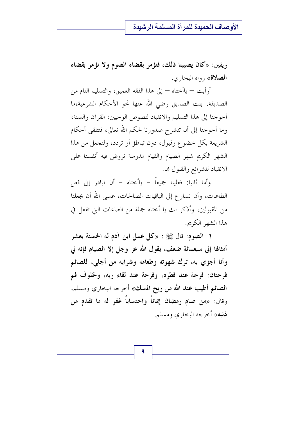ويقين: «كان يصيبنا ذلك، فنؤمر بقضاء الصوم ولا نؤمر بقضاء **الصلاة**» , واه البخاري.

أرأيت — ياأختاه — إلى هذا الفقه العميق، والتسليم التام من الصديقة. بنت الصديق رضي الله عنها نحو الأحكام الشرعية،ما أحو جنا إلى هذا التسليم والانقياد لنصوص الو حيين: القرآن والسنة، وما أحوجنا إلى أن تنشرح صدورنا لحكم الله تعالى، فنتلقى أحكام الشريعة بكل خضوع وقبول، دون تباطؤ أو تردد، ولنجعل من هذا الشهر الكريم شهر الصيام والقيام مدرسة نروض فيه أنفسنا على الانقياد للشرائع والقبول ها.

وأما ثانيا: فعلينا جميعاً – ياأختاه – أن نبادر إلى فعل الطاعات، وأن نسارِ ع إلى الباقيات الصالحات، عسى الله أن يجعلنا من المقبولين، وأذكر لك يا أحتاه جملة من الطاعات التي تفعل في هذا الشهر الكريم.

١–الصوم: قال ﷺ : «كل عمل ابن آدم له الحسنة بعشر أمثالها إلى سبعمائة ضعف، يقول الله عز وجل إلا الصيام فإنه لي وأنا أجزي به، ترك شهوته وطعامه وشرابه من أجلى، للصائم فرحتان: فرحة عند فطره، وفرحة عند لقاء ربه، ولخلوف فم الصائم أطيب عند الله من ريح المسك» أخرجه البخاري ومسلم، وقال: «من صام رمضان إيماناً واحتساباً غفر له ما تقدم من **ذنبه**» أحرجه البخاري ومسلم.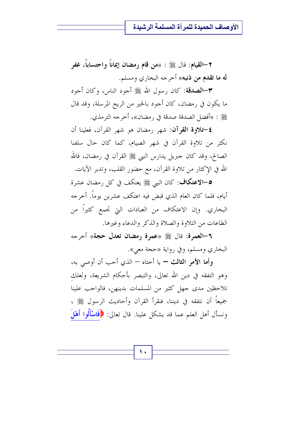٢–القيام: قال ﷺ : «من قام رمضان إيماناً واحتساباً، غفر **له ما تقدم من ذنبه**» أخرجه البخاري ومسلم.

٣–الصدقة: كان رسول الله ﷺ أحود الناس، وكان أحود ما يكون في رمضان، كان أجود بالخير من الريح المرسلة، وقد قال ﷺ : «أفضل الصدقة صدقة في رمضان»، أخرجه الترمذي.

**٤-تلاوة القرآن:** شهر ,مضان هو شهر القرآن، فعلينا أن نكثر من تلاوة القرآن في شهر الصيام، كما كان حال سلفنا الصالح، وقد كان حبريل يدارس النبي ﷺ القرآن في رمضان، فالله الله في الإكثار من تلاوة القرآن، مع حضور القلب، وتدبر الآيات.

0–الاعتكاف: كان النبي ﷺ يعتكف في كل رمضان عشرة أيام، فلما كان العام الذي قبض فيه اعتكف عشرين يوماً. أخرجه البخاري. وإن الاعتكاف من العبادات التي تجمع كثيراً من الطاعات من التلاوة والصلاة والذكر والدعاء وغيرها.

٦-العمرة: قال ﷺ «عمرة رمضان تعدل حجة» أحرجه البخاري ومسلم، وفي رواية «حجة معي».

وأما الأمر الثالث – يا أحتاه – الذي أحب أن أوصى به، وهو التفقه في دين الله تعالى، والتبصر بأحكام الشريعة، ولعلك تلاحظين مدى جهل كثير من المسلمات بدينهن، فالواجب علينا جميعاً أن نتفقه في ديننا، فنقرأ القرآن وأحاديث الرسول ﷺ ، ونسأل أهل العلم عما قد يشكل علينا. قال تعالى: ﴿فَاسْأَلُوا أَهْلَ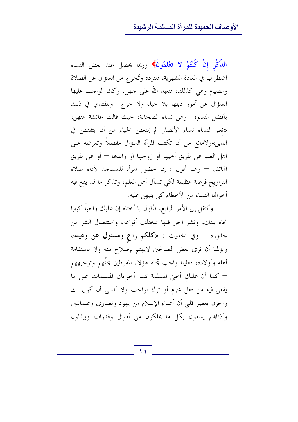ا**لذِّكْرِ إنْ كُنْتُمْ لا تَعْلَمُونَ﴾ و**ربما يحصل عند بعض النساء اضطراب في العادة الشهرية، فتتردد وتُحرج من السؤال عن الصلاة والصيام وهي كذلك، فتعبد الله على حهل. وكان الواحب عليها السؤال عن أمور دينها بلا حياء ولا حرج -ولتقتدي في ذلك بأفضل النسوة– وهن نساء الصحابة، حيث قالت عائشة عنهن: «نعم النساء نساء الأنصار لم يمنعهن الحياء من أن يتفقهن في الدين»ولامانع من أن تكتب المرأة السؤال مفصلاً وتعرضه على أهل العلم عن طريق أخيها أو زوجها أو والدها — أو عن طريق الهاتف – وهنا أقول : إن حضور المرأة للمساجد لأداء صلاة التراويح فرصة عظيمة لكي تسأل أهل العلم، وتذكر ما قد يقع فيه أخوالها النساء من الأخطاء كي ينبهن عليه.

وأنتقل إلى الأمر الرابع، فأقول يا أختاه إن عليك واجباً كبيرا تجاه بيتك، ونشر الخير فيها بمختلف أنواعه، واستئصال الشر من جذوره – وفي الحديث : «كلكم راع ومسئول عن رعيته» ويؤلمنا أن نرى بعض الصالحين لايهتم بإصلاح بيته ولا باستقامة أهله وأولاده، فعلينا واحب تجاه هؤلاء المفرطين بحتَّهم وتوجيههم – كما أن عليك أختى المسلمة تنبيه أخواتك المسلمات على ما يقعن فيه من فعل محرم أو ترك لواجب ولا أنسى أن أقول لك والحزن يعصر قلبي أن أعداء الإسلام من يهود ونصارى وعلمانيين وأذناهم يسعون بكل ما يملكون من أموال وقدرات ويبذلون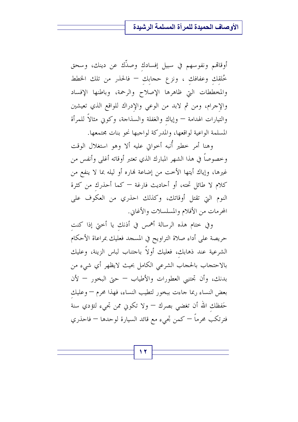أوقاقم ونفوسهم في سبيل إفسادك وصدِّك عن دينك، وسحق خُلقك وعفافك ، ونزع حجابك – فالحذر من تلك الخطط والمخططات التي ظاهرها الإصلاح والرحمة، وباطنها الإفساد والإجرام، ومن ثم لابد من الوعي والإدراك للواقع الذي تعيشين والتيارات الهدامة — وإياك والغفلة والسذاحة، وكوني مثالاً للمرأة المسلمة الواعية لواقعها، والمدركة لواجبها نحو بنات مجتمعها.

وهنا أمر خطير أُنبه أخواتي عليه ألا وهو استغلال الوقت وخصوصاً في هذا الشهر المبارك الذي تعتبر أوقاته أغلى وأنفس من غيرها، وإياك أيتها الأخت من إضاعة نهاره أو ليله بما لا ينفع من كلام لا طائل تحته، أو أحاديث فارغة — كما أحذرك من كثرة النوم التي تقتل أوقاتك، وكذلك احذري من العكوف على المحرمات من الأفلام والمسلسلات والأغابي.

وفي ختام هذه الرسالة أهمس في أذنك يا أختي إذا كنت حريصة على أداء صلاة التراويح في المسجد فعليك بمراعاة الأحكام الشرعية عند ذهابك، فعليك أولاً باحتناب لباس الزينة، وعليك بالاحتحاب بالحجاب الشرعى الكامل بحيث لايظهر أي شيء من بدنك، وأن تحتنبي العطورات والأطياب – حتى البخور – لأن بعض النساء ربما جاءت ببخور لتطيب النساء، فهذا محرم — وعليك حَفظك الله أن تغضي بصرك — ولا تكوني ممن تجيء لتؤدي سنة فترتكب محرماً — كمن تجيء مع قائد السيارة لوحدها — فاحذري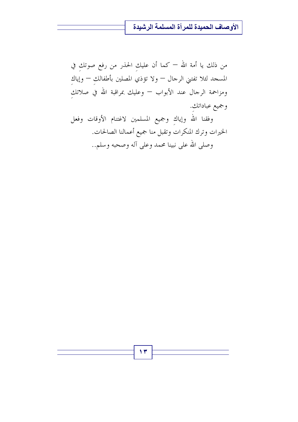من ذلك يا أمة الله — كما أن عليك الحذر من رفع صوتك في المسجد لئلا تفتني الرحال — ولا تؤذي المصلين بأطفالك — وإياك ومزاحمة الرحال عند الأبواب — وعليك بمراقبة الله في صلاتك وجميع عباداتك.

وفقنا الله وإياك وجميع المسلمين لاغتنام الأوقات وفعل الخيرات وترك المنكرات وتقبل منا جميع أعمالنا الصالحات. وصلى الله على نبينا محمد وعلى آله وصحبه وسلم..

۱۳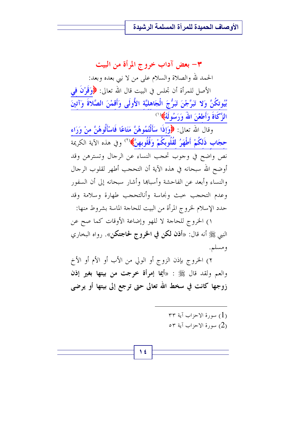٣- بعض آداب خروج المرأة من البيت الحمد لله والصلاة والسلام على من لا نبي بعده وبعد: الأصل للمرأة أن تجلس في البيت قال الله تعالى: ﴿وَقَوْلُ فِي بُيُوتكُنَّ وَلا تَبَرَّجْنَ تَبَرُّجَ الْجَاهليَّة الأُولَى وَأَقمْنَ الصَّلاةَ وَآتينَ

الزَّكَاةَ وَأَطعْنَ اللَّهُ وَرَسُولَهُ﴾(`)

وقال الله تعالى: ﴿وَإِذَا سَأَلْتُمُوهُنَّ مَتَاعًا فَاسْأَلُوهُنَّ منْ وَرَاء حجَاب ذَلكُمْ أَطْهَرُ لقُلُوبكُمْ وَقُلُوبهنَّ﴾(`' وفي هذه الآية الكريمة نص واضح في وجوب تحجب النساء عن الرجال وتسترهن وقد أوضح الله سبحانه في هذه الآية أن التحجب أطهر لقلوب الرجال والنساء وأبعد عن الفاحشة وأسباها وأشار سبحانه إلى أن السفور وعدم التحجب حبث ونجاسة وأنالتحجب طهارة وسلامة وقد حدد الإسلام لخروج المرأة من البيت للحاجة الماسة بشروط منها:

١) الخروج للحاجة لا للهو وإضاعة الأوقات كما صح عن النبي ﷺ أنه قال: «أ**ذن لكن في الخروج لحاجتكن**». رواه البخاري ومسلم.

٢) الخروج بإذن الزوج أو الولي من الأب أو الأم أو الأخ والعم ولقد قال ﷺ : «أيما إمرأة خرجت من بيتها بغير إذن زوجها كانت في سخط الله تعالى حتى ترجع إلى بيتها أو يرضى

> ۳۳ سورة الاحزاب آية ۳۳ $(1)$ 0 سورة الاحزاب آية ٥٣ $(2)$

1 ٤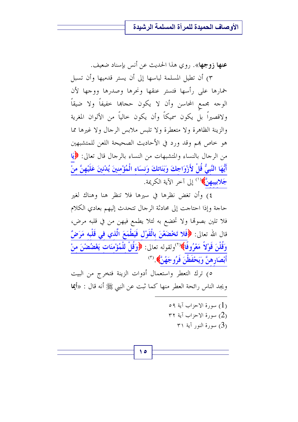عنها زوجها». روى هذا الحديث عن أنس بإسناد ضعيف.

٣) أن تطيل المسلمة لباسها إلى أن يستر قدميها وأن تسبل خمارها على رأسها فتستر عنقها ونحرها وصدرها ووجها لأن الوحه مجمع المحاسن وأن لا يكون حجاها خفيفاً ولا ضيقاً ولاقصيراً بل يكون سميكاً وأن يكون حالياً من الألوان المغرية والزينة الظاهرة ولا متعطرة ولا تلبس ملابس الرجال ولا غيرها مما هو خاص بهم وقد ورد في الأحاديث الصحيحة اللعن للمتشبهين من الرحال بالنساء والمتشبهات من النساء بالرحال قال تعالى: ﴿إِيَا أَيُّهَا النَّبِيُّ قُلْ لأَزْوَاجِكَ وَبَنَاتِكَ وَنسَاء الْمُؤْمِنِينَ يُدْنِينَ عَلَيْهِنَّ منْ جَلابِيبِهِنَّ) (<sup>١)</sup> إلى آخر الآية الكريمة.

٤) وأن تغض نظرها في سيرها فلا تنظر هنا وهناك لغير حاجة وإذا احتاجت إلى محادثة الرجال تتحدث إليهم بعادي الكلام فلا تلين بصوتما ولا تخضع به لئلا يطمع فيهن من في قلبه مرض، قال الله تعالى: ﴿فَلا تَخْضَعْنَ بِالْقَوْلِ فَيَطْمَعَ الَّذي في قَلْبِه مَرَضٌ وَقُلْنَ قَوْلاً مَعْرُوفًاً﴾ ``ولقوله تعالى: ﴿وَقُلْ لِلْمُؤْمِنَاتِ يَغْضُضْنَ مِنْ أَبْصَارِهِنَّ وَيَحْفَظْنَ فَرُوجَهُنَّ﴾ (٢)

٥) ترك التعطر واستعمال أدوات الزينة فتخرج من البيت ويجد الناس رائحة العطر منها كما ثبت عن النبي ﷺ أنه قال : «أيما

> $\circ$  (1) سورة الإحزاب آبة ٥٩ ۳۲ سورة الاحزاب آية ۳۲ $(2)$ ۳۱ سورة النور آية ۳۱  $(3)$

ه ۱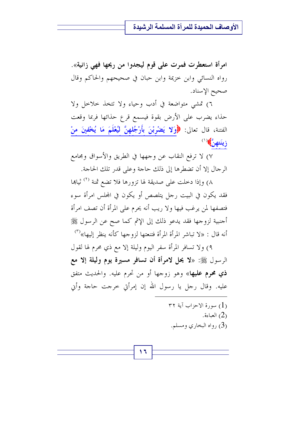امرأة استعطرت فمرت على قوم ليجدوا من ريحها فهي زانية». رواه النسائي وابن خزيمة وابن حبان في صحيحهم والحاكم وقال صحيح الإسناد.

٦) تمشى متواضعة في أدب وحياء ولا تتخذ حلاحل ولا حذاء يضرب على الأرض بقوة فيسمع قرع حذائها فربما وقعت الفتنة، قال تعالى: ﴿وَلا يَضْرِبْنَ بِأَرْجُلِهِنَّ لِيُعْلَمَ مَا يُخْفِينَ مِنْ زينَتهن**َّ)** ( ')

٧) لا ترفع النقاب عن وجهها في الطريق والأسواق ومجامع الرجال إلا أن تضطرها إلى ذلك حاجة وعلى قدر تلك الحاجة.

٨) وإذا دخلت على صديقة لها تزورها فلا تضع ثمنة <sup>(٢)</sup> ثياها فقد يكون في البيت رجل يتلصص أو يكون في المحلس امرأة سوء فتصفها لمن يرغب فيها ولا ريب أنه يحرم على المرأة أن تصف امرأة أجنبية لزوجها فقد يدعو ذلك إلى الإثم كما صح عن الرسول ﷺ أنه قال : «لا تباشر المرأة المرأة فتنعتها لزوجها كأنه ينظر إليها»<sup>(٣)</sup>

٩) ولا تسافر المرأة سفر اليوم وليلة إلا مع ذي محرم لها لقول الرسول ﷺ: «لا يحل لامرأة أن تسافر مسيرة يوم وليلة إلا مع **ذي محرم عليها**» وهو زوجها أو من تحرم عليه. والحديث متفق عليه. وقال رجل يا رسول الله إن إمرأتي خرجت حاجة وأيي

> ٣٢ سورة الاحزاب آية ٣٢ العباءة. (2) (3) رواه البخاري ومسلم.

۱٦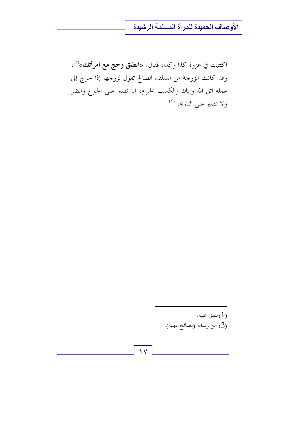اكتتبت في غزوة كذا وكذا، فقال: «ا**نطلق وحج مع امرأتك**»<sup>(١)</sup>، وقد كانت الزوجة من السلف الصالح تقول لزوجها إذا خرج إلى عمله اتق الله وإياك والكسب الحرام، إنا نصبر على الجوع والضر ولا نصبر على النار». <sup>(٢)</sup>

> متفق عليه. $(1)$ (2) من رسالة (نصائح دينية)

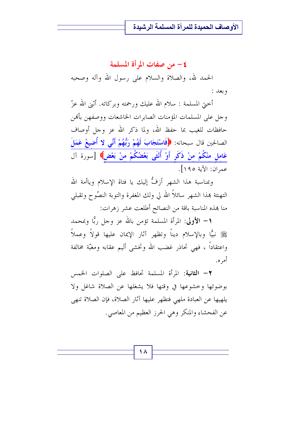### ٤ – من صفات المرأة المسلمة

الحمد لله، والصلاة والسلام على رسول الله وآله وصحبه وبعد :

أختى المسلمة : سلام الله عليك ورحمته وبركاته. أثني الله عزّ وجل على المسلمات المؤمنات الصابرات الخاشعات ووصفهن بأفمن حافظات للغيب بما حفظ الله، ولما ذكر الله عز وجل أوصاف الصالحين قال سبحانه: ﴿فَاسْتَجَابَ لَهُمْ رَبُّهُمْ أَنِّي لا أُضِيعُ عَمَلَ عَامل منْكُمْ منْ ذَكَر أَوْ أُنْثَى بَعْضُكُمْ مِنْ بَعْضٍ﴾ [سورة آل عمران: الآية ١٩٥].

وبمناسبة هذا الشهر أزفُّ إليك يا فتاة الإسلام وياأمة الله التهنئة بهذا الشهر سائلاً الله لي ولك المغفرة والتوبة النصُوح وتقبلي منا بهذه المناسبة باقة من النصائح أطلعت عشر زهرات:

١ – الأولى: المرأة المسلمة تؤمن بالله عز وجل ربًّا وبمحمد ﷺ نبيًّا وبالإسلام ديناً وتظهر آثار الإيمان عليها قولاً وعملاً واعتقاداً ، فهي تحاذر غضب الله وتخشى أليم عقابه ومغبّة مخالفة أمر ه.

7 - **الثانية**: المرأة المسلمة تحافظ على الصلوات الخمس بوضوئها وخشوعها في وقتها فلا يشغلها عن الصلاة شاغل ولا يلهيها عن العبادة ملهى فتظهر عليها آثار الصلاة، فإن الصلاة تنهى عن الفحشاء والمنكر وهي الحرز العظيم من المعاصي.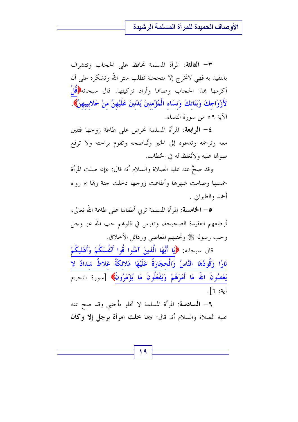٣- الثالثة: المرأة المسلمة تحافظ على الحجاب وتتشرف بالتقيد به فهي لاتخرج إلا متحجبة تطلب ستر الله وتشكره على أن أكرمها بهذا الحجاب وصافما وأراد تزكيتها. قال سبحانه $\langle \hat{\ddot{u}} \rangle$ قُلْ لأَزْوَاجِكَ وَبَنَاتِكَ وَنِسَاءِ الْمُؤْمِنِينَ يُدْنِينَ عَلَيْهِنَّ منْ جَلابِيبِهِنَّ﴾. الآية ٥٩ من سورة النساء.

**٤**— ا**لرابعة**: المرأة المسلمة تحرص على طاعة زوجها فتلين معه وترحمه وتدعوه إلى الخير وتُناصحه وتقوم براحته ولا ترفع صولها عليه ولاتُغلظ له في الخطاب.

وقد صحَّ عنه عليه الصلاة والسلام أنه قال: «إذا صلت المرأة خمسها وصامت شهرها وأطاعت زوجها دحلت جنة ربما » رواه أحمد والطيراني .

**0– الخامسة**: المرأة المسلمة تربي أطفالها على طاعة الله تعالى، تُرضعهم العقيدة الصحيحة، وتغرس في قلوهِم حب الله عز وجل وحب رسوله ﷺ وتحنبهم المعاصي ورذائل الأحلاق.

قال سبحانه: ﴿يَا أَيُّهَا الَّذِينَ آمَنُوا قُوا أَنْفُسَكُمْ وَأَهْلِيكُمْ نَارًا وَقُودُهَا النَّاسُ وَالْحجَارَةُ عَلَيْهَا مَلائكَةٌ غلاظٌ شدادٌ لا يَعْصُونَ اللهَ مَا أَمَرَهُمْ وَيَفْعَلُونَ مَا يُؤْمَرُونَ﴾ [سورة التحريم آبة: ٦].

٢– السادسة: المرأة المسلمة لا تخلو بأحنىي وقد صح عنه عليه الصلاة والسلام أنه قال: «ما خلت امرأة برجل إلا وكان

19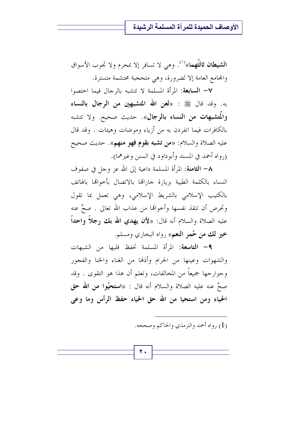ا**لشيطان ثالثُهما**»<sup>(١)</sup>. وهي لا تسافر إلا بمحرم ولا تجوب الأسواق والمحامع العامة إلا لضرورة، وهي متحجبة محتشمة متسترة.

V- السابعة: المرأة المسلمة لا تتشبه بالرجال فيما اختصوا به. وقد قال ﷺ : «**لعن الله المتشبهين من الرجال بالنساء** والمُتشبِّهات من النساء بالرجال». حديث صحيح. ولا تتشبه بالكافرات فيما انفردن به من أزياء وموضات وهيئات . وقد قال عليه الصلاة والسلام: «**من تشبه بقوم فهو منهم**». حديث صحيح (رواه أحمد في المسند وأبوداود في السنن وغيرهما).

٨– الثامنة: المرأة المسلمة داعية إلى الله عز وجل في صفوف النساء بالكلمة الطيبة بزيارة حاراتها بالاتصال بأحواقما بالهاتف بالكتيب الإسلامي بالشريط الإسلامي، وهي تعمل بما تقول وتحرص أن تنقذ نفسها وأحوالها من عذاب الله تعالى . صحَّ عنه عليه الصلاة والسلام أنه قال: «لأن يهدي الله بك رجلًا واحداً خير لك من حُمر النعم» , واه البحاري ومسلم.

**٩**- التاسعة: المرأة المسلمة تحفظ قلبها من الشبهات والشهوات وعينها من الحرام وأذلها من الغناء والخنا والفجور وجوارحها جميعاً من المخالفات، وتعلم أن هذا هو التقوى . وقد صحَّ عنه عليه الصلاة والسلام أنه قال : «ا**ستحيُوا من الله حق** الحياء ومن استحيا من الله حق الحياء حفظ الرأس وما وعي

(1) رواه أحمد والترمذي والحاكم وصححه.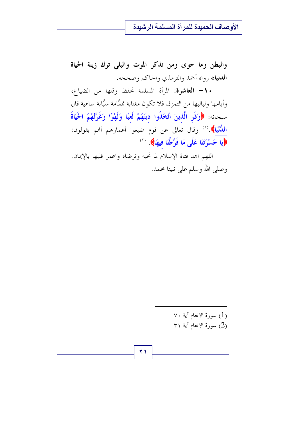والبطن وما حوى ومن تذكر الموت والبلى ترك زينة الحياة ا**لدني**ا» رواه أحمد والترمذي والحاكم وصححه.

• ١- العاشرة: المرأة المسلمة تحفظ وقتها من الضياع، وأيامها ولياليها من التمزق فلا تكون مغتابة نممَّامة سبَّابة ساهية قال سبحانه: ﴿وَذَرِ الَّذِينَ اتَّخَذُوا دِينَهُمْ لَعِبًا وَلَهْوًا وَغَرَّتْهُمُ الْحَيَاةُ اللُّنْيَا﴾.''' وقال تعالى عن قوم ضيعوا أعمارهم أفمم يقولون: (إِيَا حَسْرَتَنَا عَلَى مَا فَرَّطْنَا فِيهَا) (``)

اللهم اهد فتاة الإسلام لما تحبه وترضاه واعمر قلبها بالإيمان. وصلى الله وسلم على نبينا محمد.

> $\vee\cdot\,$ بسورة الانعام آية ۷۰ $(1)$ ۳۱ سورة الانعام آية ۳۱ $(2)$

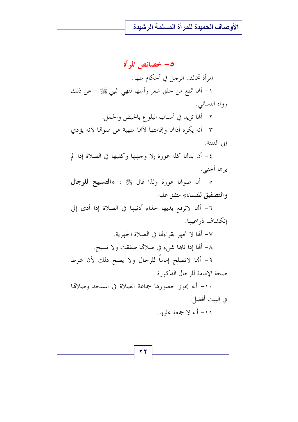## 0– خصائص المرأة المرأة تخالف الرجل في أحكام منها: ١– ألها تمنع من حلق شعر رأسها لنهي النبي ﷺ – عن ذلك

رواه النسائبي. ٢- ألها تزيد في أسباب البلوغ بالحيض والحمل.

٣– أنه يكره أذالها وإقامتها لألها منهية عن صولها لأنه يؤدي إلى الفتنة.

٤- أن بدنها كله عورة إلا وجهها وكفيها في الصلاة إذا لم يرها أجنبي.

ه- أن صولها عورة ولذا قال ﷺ : «التسبيح للرجال والتصفيق للنساء» متفق عليه.

٦- أَهَا لاترفع يديها حذاء أذنيها في الصلاة إذا أدى إلى إنكشاف ذراعيها.

٧- أَلَهَا لا تَجْهِر بِقِراءِهَا فِي الصِلاةِ الجهرِيةِ. ٨– ألها إذا ناهما شيء في صلالها صفقت ولا تسبح. ٩- ألها لاتصلح إماماً للرجال ولا يصح ذلك لأن شرط صحة الإمامة للرجال الذكورة.

١٠- أنه يجوز حضورها جماعة الصلاة في المسجد وصلاقما في البيت أفضل.

١١- أنه لا جمعة عليها.

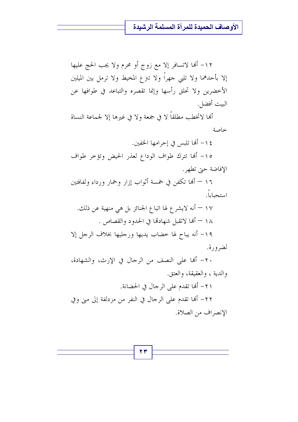١٢– ألها لاتسافر إلا مع زوج أو محرم ولا يجب الحج عليها إلا بأحدهما ولا تلبي حهراً ولا تنزع المخيط ولا ترمل بين الميلين الأخضرين ولا تحلق رأسها وإنما تقصره والتباعد في طوافها عن البيت أفضل.

ألها لاتخطب مطلقاً لا في جمعة ولا في غيرها إلا لجماعة النساة خداصة

١٤- ألها تلبس في إحرامها الخفين. ١٥- ألها تترك طواف الوداع لعذر الحيض وتؤخر طواف الإفاضة حيّ تطهر . ١٦ – ألها تكفن في خمسة أثواب إزار وخمار ورداء ولفافتين استحباباً. ١٧ — أنه لايشر ع لها اتبا ع الجنائز بل هي منهية عن ذلك. ١٨ – ألها لاتقبل شهادها في الحدود والقصاص . ١٩- أنه يباح لها خضاب يديها ورحليها بخلاف الرجل إلا لضرورة. ٢٠ – أَلها على النصف من الرجال في الإرث، والشهادة، والدية ، والعقيقة، والعتق.

٢١- ألها تقدم على الرجال في الحضانة. ٢٢– أَهْا تقدم على الرجال في النفر من مزدلفة إلى مني وفي الإنصراف من الصلاة.

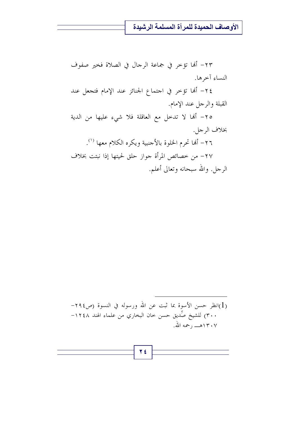٢٣- أَلَها تؤخر في جماعة الرجال في الصلاة فخير صفوف النساء آخرها. ٢٤- ألها تؤخر في احتماع الجنائز عند الإمام فتجعل عند القبلة والرحل عند الإمام. ٢٥- ألها لا تدخل مع العاقلة فلا شيء عليها من الدية بخلاف الرجل. ٢٦- ألها تحرم الخلوة بالأجنبية ويكره الكلام معها <sup>(١)</sup>. ٢٧– من خصائص المرأة جواز حلق لحيتها إذا نبتت بخلاف الرجل. والله سبحانه وتعالى أعلم.

(1) انظر حسن الأسوة بما ثبت عن الله ورسوله في النسوة (ص١٩٤– ٣٠٠) للشيخ صِّديق حسن حان البخاري من علماء الهند ١٢٤٨– 

2 2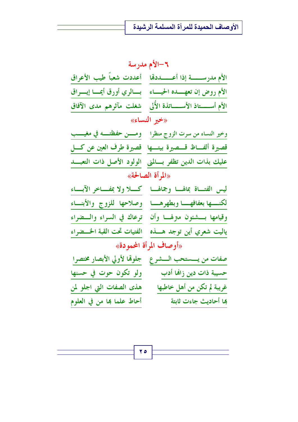| ٦-الأم مدرسة                |                                                                     |
|-----------------------------|---------------------------------------------------------------------|
|                             | الأم مدرســـــــــة إذا أعــــــــددقما للمحدت شعباً طيب الأعراق    |
|                             | الأم روض إن تعهــــده الحيــــاء ﴿ بِـــالري أورق أيمـــا إيــــراق |
|                             | الأم أســـــتاذ الأســــــاتذة الأُلى ﴿ شغلت مآثرهم مدى الآفاق      |
| «خير النساء»                |                                                                     |
|                             | وخير النساء من سرت الزوج منظرا مومسن حفظته في مغيسب                 |
|                             | قصيرة ألفاظ قسصيرة بيتها قصيرة طرف العين عن كسل                     |
|                             | عليك بذات الدين تظفر بسالمنى الولود الأصل ذات التعبسد               |
| «المرأة الصالحة»            |                                                                     |
| كسلا ولا بمفساخر الآبساء    | ليس الفتاة بمالها وجمالها                                           |
|                             | لكنسها بعفافها وبطهرهسا وصلاحها للزوج والأبنساء                     |
|                             | وقيامها بسشئون متزلها وأن ترعاك في السراء والسضراء                  |
| الفتيات تحت القبة الخسضراء  | ياليت شعري أين توجد هـــــذه                                        |
| «أوصاف المرأة المحمودة»     |                                                                     |
| جلوقما لأولي الأبصار مختصرا | صفات من يـــستحب الـــشرع                                           |
| ولو تكون حوت في حسنها       | حسيبة ذات دين زاهًا أدب                                             |
| هذى الصفات التي اجلو لمن    | غريبة لم تكن من أهل خاطبها                                          |
| أحاط علما هِا من في العلوم  | ها أحاديث جاءت ثابتة                                                |

 $\mathbf{y}$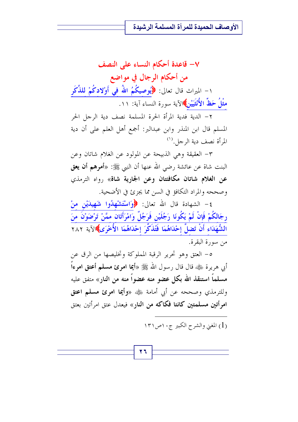V– قاعدة أحكام النساء على النصف من أحكام الرجال في مواضع ١- الميراث قال تعالى: ﴿يُوصِيكُمُ اللَّهُ في أَوْلادكُمْ للذَّكَر مثْلُ حَظٌّ الأُنْثَيَيْنِ﴾الآية سورة النساء آية: ١١.

٢ – الدية فدية المرأة الحرة المسلمة نصف دية الرجل الحر المسلم قال ابن المنذر وابن عبدالبر: أجمع أهل العلم على أن دية المرأة نصف دية الرجل.<sup>(١)</sup>

٣- العقيقة وهي الذبيحة عن المولود عن الغلام شاتان وعن البنت شاة عن عائشة رضي الله عنها أن النبي ﷺ: «أ**مرهم أن يعق** عن الغلام شاتان مكافئتان وعن الجارية شاة» رواه الترمذي وصححه والمراد التكافؤ في السن مما يجزئ في الأضحية.

٤- الشهادة قال الله تعالى: ﴿وَاسْتَشْهِلُوا شَهِيدَيْنِ مِنْ رجَالكُمْ فَإِنْ لَمْ يَكُونَا رَجُلَيْنِ فَرَجُلٌ وَامْرَأَتَانِ ممَّنْ تَرْضَوْنَ منَ الشُّهَدَاء أَنْ تَضلَّ إحْدَاهُمَا فَتُذَكِّرَ إحْدَاهُمَا الأُخْرَى﴾الآية ٢٨٢ من سورة البقرة.

٥- العتق وهو تحرير الرقبة المعلوكة وتخليصها من الرق عن أبي هريرة ﷺ، قال قال رسول الله ﷺ «أ**يما امرئ مسلم أعتق امر**ءاً مسلماً استنقذ الله بكل عضو منه عضواً منه من النار» متفق عليه وللترمذي وصححه عن أبي أمامة ﷺ «و**أيما امرئ مسلم اعتق** امر أتين مسلمتين كانتا فكاكه من النار» فيعدل عتق امرأتين بعتق

(1) المغنى والشرح الكبير ج١٠ص١٣١

$$
\mathbf{r} \mathbf{r}
$$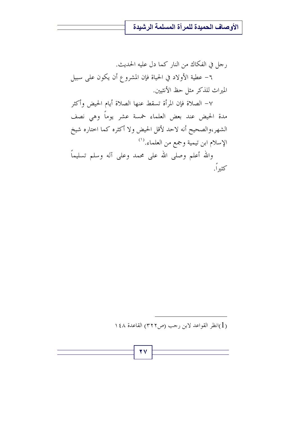رجل في الفكاك من النار كما دل عليه الحديث. ٦– عطية الأولاد في الحياة فإن المشروع أن يكون على سبيل الميراث للذكر مثل حظ الأنثيين.

٧- الصلاة فإن المرأة تسقط عنها الصلاة أيام الحيض وأكثر مدة الحيض عند بعض العلماء خمسة عشر يوماً وهي نصف الشهر،والصحيح أنه لاحد لأقل الحيض ولا أكثره كما اختاره شيخ الإسلام ابن تيمية وجمع من العلماء.'' والله أعلم وصلى الله على محمد وعلى آله وسلم تسليماً كثيراً.

(1)انظر القواعد لابن رحب (ص٣٢٢) القاعدة ١٤٨

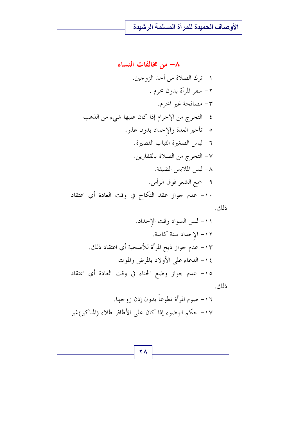\n**۸** – **من خانفات النساء**  
\n**۱** – تراك الصلات من أحد الزوجين.  
\n**۲** – سفر المرأة بلون عرم .  
\n**۲** – التحرج من الإحرام إذا كان عليها 
$$
\dot{m}_{2}
$$
، من النهب  
\n**۵** – التحرج من الإحرام إذا كان عليها  $\dot{m}_{2}$ ، من النهب  
\n**۲** – لباس العميرة الثياب القصيرة.  
\n**۲** – لبس اللابس العملاته باقفازين.  
\n**۸** – لبس اللابس الفيقة.  
\n**۹** – جمع النئع وق الراًس.  
\n**۹** – عدم جوار عقد النكاح في وقت العادة أي اعتفاد  
\n**ذك**.  
\n**۱** - عدم جوار عقد النكاح في وقت العادة أي اعتفاد  
\n**ذك**.

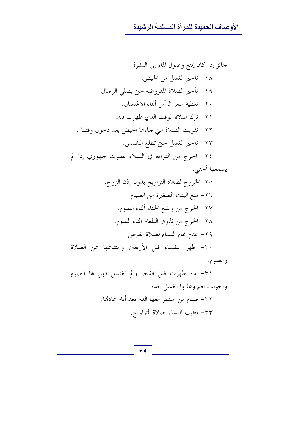$\mathbf{Y}$  ٩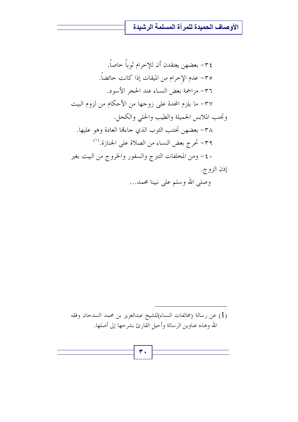عن رسالة (مخالفات النساء)للشيخ عبدالعزيز بن محمد السدحان وفقه  $(1)$ الله وهذه عناوين الرسالة وأحيل القارئ بشرحها إلى أصلها.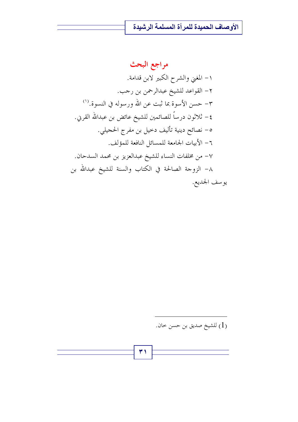مراجع البحث ١– المغنى والشرح الكبير لابن قدامة. ٢- القواعد للشيخ عبدالرحمن بن رجب. ٣- حسن الأسوة بما ثبت عن الله ورسوله في النسوة.'') ٤ – ثلاثون درساً للصائمين للشيخ عائض بن عبدالله القربي. ٥- نصائح دينية تأليف دخيل بن مفرج الحجيلي. ٦ – الأبيات الجامعة للمسائل النافعة للمؤلف. ٧- من مخلفات النساء للشيخ عبدالعزيز بن محمد السدحان. ٨– الزوجة الصالحة في الكتاب والسنة للشيخ عبدالله بن يوسف الجديع.

(1) للشيخ صديق بن حسن حان.